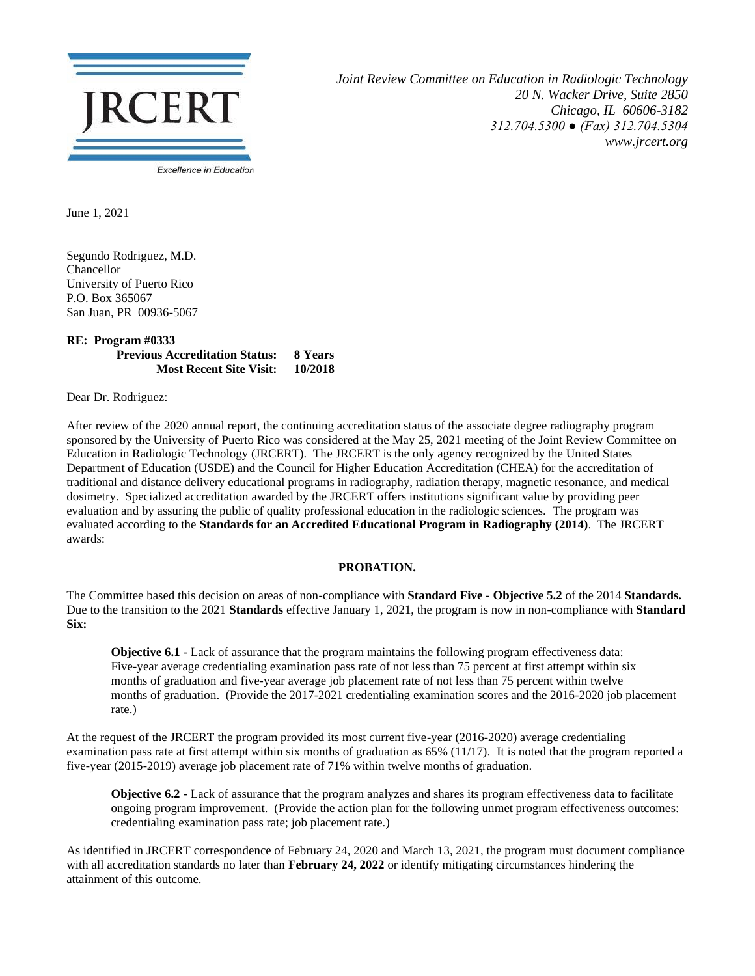

*Joint Review Committee on Education in Radiologic Technology 20 N. Wacker Drive, Suite 2850 Chicago, IL 60606-3182 312.704.5300 ● (Fax) 312.704.5304 www.jrcert.org*

June 1, 2021

Segundo Rodriguez, M.D. Chancellor University of Puerto Rico P.O. Box 365067 San Juan, PR 00936-5067

## **RE: Program #0333 Previous Accreditation Status: 8 Years Most Recent Site Visit: 10/2018**

Dear Dr. Rodriguez:

After review of the 2020 annual report, the continuing accreditation status of the associate degree radiography program sponsored by the University of Puerto Rico was considered at the May 25, 2021 meeting of the Joint Review Committee on Education in Radiologic Technology (JRCERT). The JRCERT is the only agency recognized by the United States Department of Education (USDE) and the Council for Higher Education Accreditation (CHEA) for the accreditation of traditional and distance delivery educational programs in radiography, radiation therapy, magnetic resonance, and medical dosimetry. Specialized accreditation awarded by the JRCERT offers institutions significant value by providing peer evaluation and by assuring the public of quality professional education in the radiologic sciences. The program was evaluated according to the **Standards for an Accredited Educational Program in Radiography (2014)**. The JRCERT awards:

## **PROBATION.**

The Committee based this decision on areas of non-compliance with **Standard Five - Objective 5.2** of the 2014 **Standards.**  Due to the transition to the 2021 **Standards** effective January 1, 2021, the program is now in non-compliance with **Standard Six:**

**Objective 6.1 <b>-** Lack of assurance that the program maintains the following program effectiveness data: Five-year average credentialing examination pass rate of not less than 75 percent at first attempt within six months of graduation and five-year average job placement rate of not less than 75 percent within twelve months of graduation. (Provide the 2017-2021 credentialing examination scores and the 2016-2020 job placement rate.)

At the request of the JRCERT the program provided its most current five-year (2016-2020) average credentialing examination pass rate at first attempt within six months of graduation as 65% (11/17). It is noted that the program reported a five-year (2015-2019) average job placement rate of 71% within twelve months of graduation.

**Objective 6.2 -** Lack of assurance that the program analyzes and shares its program effectiveness data to facilitate ongoing program improvement. (Provide the action plan for the following unmet program effectiveness outcomes: credentialing examination pass rate; job placement rate.)

As identified in JRCERT correspondence of February 24, 2020 and March 13, 2021, the program must document compliance with all accreditation standards no later than **February 24, 2022** or identify mitigating circumstances hindering the attainment of this outcome.